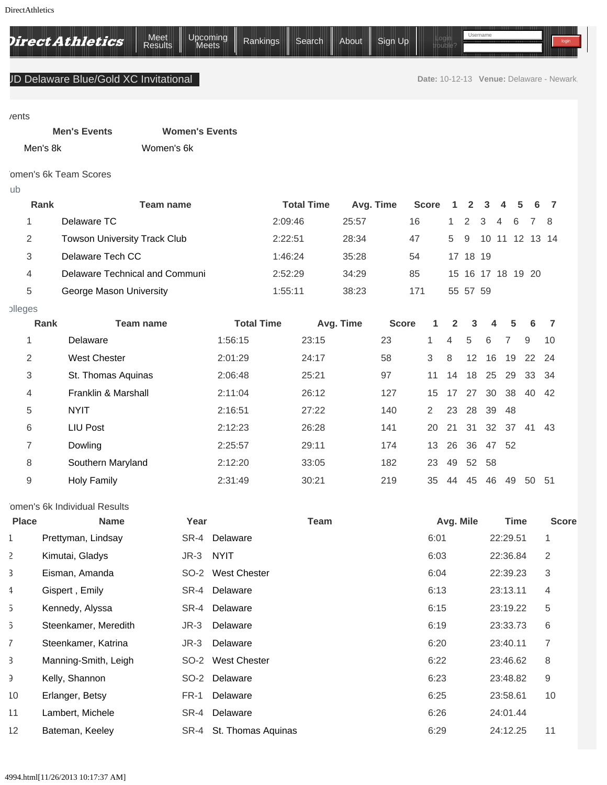# UD Delaware Blue/Gold XC Invitational **Date: 10-12-13 Venue: Delaware - Newark**,

login

#### vents

| <b>Men's Events</b> | <b>Women's Events</b> |
|---------------------|-----------------------|
| Men's 8k            | Women's 6k            |

## omen's 6k Team Scores

#### lub

| <b>Rank</b> | Team name                           | <b>Total Time</b> | Avg. Time | Score 1 2 3 4 5 6 7 |     |                   |   |                   |                |  |
|-------------|-------------------------------------|-------------------|-----------|---------------------|-----|-------------------|---|-------------------|----------------|--|
|             | Delaware TC                         | 2:09:46           | 25:57     | 16                  |     | $1\quad 2\quad 3$ | 4 | 6                 |                |  |
|             | <b>Towson University Track Club</b> | 2:22:51           | 28:34     | 47                  | 5 9 |                   |   |                   | 10 11 12 13 14 |  |
|             | Delaware Tech CC                    | 1:46:24           | 35:28     | 54                  |     | 17 18 19          |   |                   |                |  |
| 4           | Delaware Technical and Communi      | 2:52:29           | 34:29     | 85                  |     |                   |   | 15 16 17 18 19 20 |                |  |
| 5           | George Mason University             | 1:55:11           | 38:23     | 171                 |     | 55 57 59          |   |                   |                |  |

### olleges

| Rank           | Team name           | <b>Total Time</b> | Avg. Time | <b>Score</b> | 1  | $\overline{2}$ | 3  | 4  | 5   | 6  |     |
|----------------|---------------------|-------------------|-----------|--------------|----|----------------|----|----|-----|----|-----|
| и              | Delaware            | 1:56:15           | 23:15     | 23           |    | 4              | 5  | 6  | 7   | 9  | 10  |
| 2              | <b>West Chester</b> | 2:01:29           | 24:17     | 58           | 3  | 8              | 12 | 16 | 19  | 22 | -24 |
| 3              | St. Thomas Aquinas  | 2:06:48           | 25:21     | 97           | 11 | 14             | 18 | 25 | 29  | 33 | -34 |
| $\overline{4}$ | Franklin & Marshall | 2:11:04           | 26:12     | 127          | 15 | 17             | 27 | 30 | 38  | 40 | 42  |
| 5              | <b>NYIT</b>         | 2:16:51           | 27:22     | 140          | 2  | 23             | 28 | 39 | -48 |    |     |
| 6              | <b>LIU Post</b>     | 2:12:23           | 26:28     | 141          | 20 | 21             | 31 | 32 | 37  | 41 | 43  |
|                | Dowling             | 2:25:57           | 29:11     | 174          | 13 | 26             | 36 | 47 | 52  |    |     |
| 8              | Southern Maryland   | 2:12:20           | 33:05     | 182          | 23 | 49             | 52 | 58 |     |    |     |
| 9              | <b>Holy Family</b>  | 2:31:49           | 30:21     | 219          | 35 | 44             | 45 | 46 | 49  | 50 | 51  |

# **Place Name Year Team Avg. Mile Time Score** 1 [Prettyman, Lindsay](http://www.directathletics.com/athletes/xc/3222383.html) 6:01 SR-4 [Delaware](http://www.directathletics.com/teams/xc/609.html) 6:01 6:01 22:29.51 1 2 [Kimutai, Gladys](http://www.directathletics.com/athletes/xc/3898949.html) JR-3 [NYIT](http://www.directathletics.com/teams/xc/515.html) 6:03 22:36.84 2 3 [Eisman, Amanda](http://www.directathletics.com/athletes/xc/4053422.html) SO-2 [West Chester](http://www.directathletics.com/teams/xc/9854.html) 6:04 22:39.23 3 4 [Gispert , Emily](http://www.directathletics.com/athletes/xc/3222350.html) **SR-4 [Delaware](http://www.directathletics.com/teams/xc/609.html) 120 Contained According Contained According Contained According Contained According Contained According According According According According Section 4** 5 [Kennedy, Alyssa](http://www.directathletics.com/athletes/xc/3222377.html) SR-4 [Delaware](http://www.directathletics.com/teams/xc/609.html) 6:15 23:19.22 5 6:19 [Steenkamer, Meredith](http://www.directathletics.com/athletes/xc/3718908.html) JR-3 [Delaware](http://www.directathletics.com/teams/xc/609.html) 6:19 6:19 23:33.73 6 7 [Steenkamer, Katrina](http://www.directathletics.com/athletes/xc/3718907.html) JR-3 [Delaware](http://www.directathletics.com/teams/xc/609.html) 6:20 6:20 23:40.11 7 8 [Manning-Smith, Leigh](http://www.directathletics.com/athletes/xc/3719518.html) SO-2 [West Chester](http://www.directathletics.com/teams/xc/9854.html) 6:22 6:22 23:46.62 8 9 [Kelly, Shannon](http://www.directathletics.com/athletes/xc/4056375.html) SO-2 [Delaware](http://www.directathletics.com/teams/xc/609.html) 6:23 23:48.82 9 10 [Erlanger, Betsy](http://www.directathletics.com/athletes/xc/4505697.html) FR-1 [Delaware](http://www.directathletics.com/teams/xc/609.html) 6:25 23:58.61 10 11 [Lambert, Michele](http://www.directathletics.com/athletes/xc/3222378.html) SR-4 [Delaware](http://www.directathletics.com/teams/xc/609.html) 6:26 24:01.44 12 [Bateman, Keeley](http://www.directathletics.com/athletes/xc/3257145.html) SR-4 [St. Thomas Aquinas](http://www.directathletics.com/teams/xc/11043.html) 6:29 6:29 24:12.25 11

omen's 6k Individual Results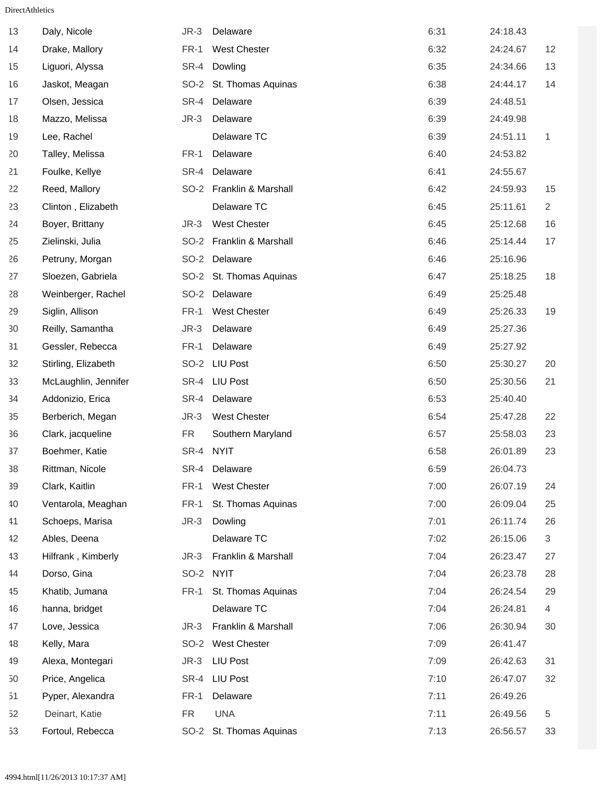| 13              | Daly, Nicole         | $JR-3$    | Delaware                 | 6:31 | 24:18.43 |    |
|-----------------|----------------------|-----------|--------------------------|------|----------|----|
| 14              | Drake, Mallory       | FR-1      | <b>West Chester</b>      | 6:32 | 24:24.67 | 12 |
| 15              | Liguori, Alyssa      | SR-4      | Dowling                  | 6:35 | 24:34.66 | 13 |
| 16              | Jaskot, Meagan       | SO-2      | St. Thomas Aquinas       | 6:38 | 24:44.17 | 14 |
| 17              | Olsen, Jessica       | SR-4      | Delaware                 | 6:39 | 24:48.51 |    |
| 18              | Mazzo, Melissa       | $JR-3$    | Delaware                 | 6:39 | 24:49.98 |    |
| 19              | Lee, Rachel          |           | Delaware TC              | 6:39 | 24:51.11 | 1  |
| 20              | Talley, Melissa      | FR-1      | Delaware                 | 6:40 | 24:53.82 |    |
| 21              | Foulke, Kellye       | SR-4      | Delaware                 | 6:41 | 24:55.67 |    |
| 22              | Reed, Mallory        |           | SO-2 Franklin & Marshall | 6:42 | 24:59.93 | 15 |
| 23              | Clinton, Elizabeth   |           | Delaware TC              | 6:45 | 25:11.61 | 2  |
| 24              | Boyer, Brittany      | $JR-3$    | <b>West Chester</b>      | 6:45 | 25:12.68 | 16 |
| 25              | Zielinski, Julia     |           | SO-2 Franklin & Marshall | 6:46 | 25:14.44 | 17 |
| 26              | Petruny, Morgan      | SO-2      | Delaware                 | 6:46 | 25:16.96 |    |
| 27              | Sloezen, Gabriela    | SO-2      | St. Thomas Aquinas       | 6:47 | 25:18.25 | 18 |
| 28              | Weinberger, Rachel   | SO-2      | Delaware                 | 6:49 | 25:25.48 |    |
| 29              | Siglin, Allison      | FR-1      | <b>West Chester</b>      | 6:49 | 25:26.33 | 19 |
| 30 <sup>°</sup> | Reilly, Samantha     | $JR-3$    | Delaware                 | 6:49 | 25:27.36 |    |
| 31              | Gessler, Rebecca     | FR-1      | Delaware                 | 6:49 | 25:27.92 |    |
| 32              | Stirling, Elizabeth  | SO-2      | <b>LIU Post</b>          | 6:50 | 25:30.27 | 20 |
| 33              | McLaughlin, Jennifer | SR-4      | <b>LIU Post</b>          | 6:50 | 25:30.56 | 21 |
| 34              | Addonizio, Erica     | SR-4      | Delaware                 | 6:53 | 25:40.40 |    |
| 35              | Berberich, Megan     | $JR-3$    | <b>West Chester</b>      | 6:54 | 25:47.28 | 22 |
| 36              | Clark, jacqueline    | <b>FR</b> | Southern Maryland        | 6:57 | 25:58.03 | 23 |
| 37              | Boehmer, Katie       | SR-4      | <b>NYIT</b>              | 6:58 | 26:01.89 | 23 |
| 38              | Rittman, Nicole      | SR-4      | Delaware                 | 6:59 | 26:04.73 |    |
| 39              | Clark, Kaitlin       | FR-1      | <b>West Chester</b>      | 7:00 | 26:07.19 | 24 |
| 40              | Ventarola, Meaghan   | FR-1      | St. Thomas Aquinas       | 7:00 | 26:09.04 | 25 |
| 41              | Schoeps, Marisa      | $JR-3$    | Dowling                  | 7:01 | 26:11.74 | 26 |
| 42              | Ables, Deena         |           | Delaware TC              | 7:02 | 26:15.06 | 3  |
| 43              | Hilfrank, Kimberly   | $JR-3$    | Franklin & Marshall      | 7:04 | 26:23.47 | 27 |
| 44              | Dorso, Gina          | SO-2      | <b>NYIT</b>              | 7:04 | 26:23.78 | 28 |
| 45              | Khatib, Jumana       | FR-1      | St. Thomas Aquinas       | 7:04 | 26:24.54 | 29 |
| 46              | hanna, bridget       |           | Delaware TC              | 7:04 | 26:24.81 | 4  |
| 47              | Love, Jessica        | $JR-3$    | Franklin & Marshall      | 7:06 | 26:30.94 | 30 |
| 48              | Kelly, Mara          | SO-2      | <b>West Chester</b>      | 7:09 | 26:41.47 |    |
| 49              | Alexa, Montegari     | $JR-3$    | <b>LIU Post</b>          | 7:09 | 26:42.63 | 31 |
| 50              | Price, Angelica      | SR-4      | <b>LIU Post</b>          | 7:10 | 26:47.07 | 32 |
| 51              | Pyper, Alexandra     | FR-1      | Delaware                 | 7:11 | 26:49.26 |    |
| 52              | Deinart, Katie       | <b>FR</b> | <b>UNA</b>               | 7:11 | 26:49.56 | 5  |
| 53              | Fortoul, Rebecca     | SO-2      | St. Thomas Aquinas       | 7:13 | 26:56.57 | 33 |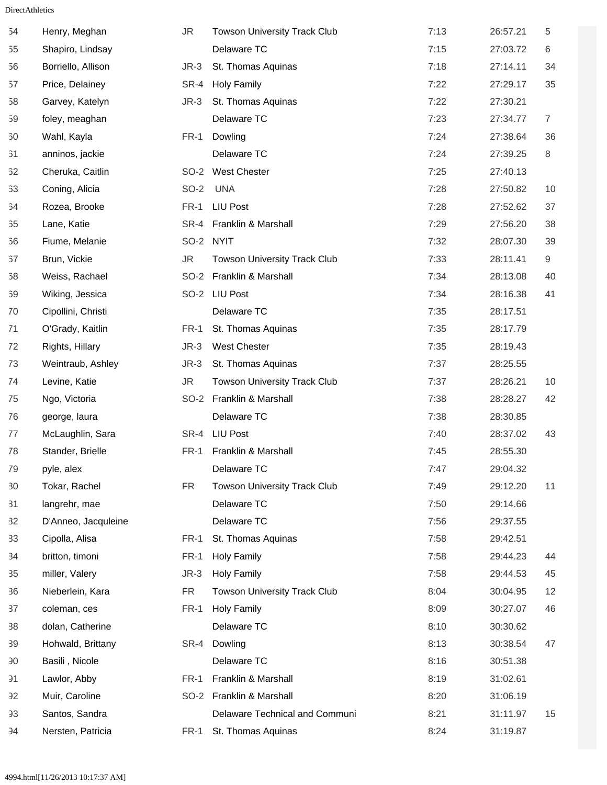| 54 | Henry, Meghan       | <b>JR</b> | <b>Towson University Track Club</b> | 7:13 | 26:57.21 | 5              |
|----|---------------------|-----------|-------------------------------------|------|----------|----------------|
| 55 | Shapiro, Lindsay    |           | Delaware TC                         | 7:15 | 27:03.72 | 6              |
| 56 | Borriello, Allison  | $JR-3$    | St. Thomas Aquinas                  | 7:18 | 27:14.11 | 34             |
| 57 | Price, Delainey     | SR-4      | <b>Holy Family</b>                  | 7:22 | 27:29.17 | 35             |
| 58 | Garvey, Katelyn     | $JR-3$    | St. Thomas Aquinas                  | 7:22 | 27:30.21 |                |
| 59 | foley, meaghan      |           | Delaware TC                         | 7:23 | 27:34.77 | $\overline{7}$ |
| 30 | Wahl, Kayla         | FR-1      | Dowling                             | 7:24 | 27:38.64 | 36             |
| 31 | anninos, jackie     |           | Delaware TC                         | 7:24 | 27:39.25 | 8              |
| 32 | Cheruka, Caitlin    | SO-2      | <b>West Chester</b>                 | 7:25 | 27:40.13 |                |
| 33 | Coning, Alicia      | SO-2      | <b>UNA</b>                          | 7:28 | 27:50.82 | 10             |
| 34 | Rozea, Brooke       | $FR-1$    | <b>LIU Post</b>                     | 7:28 | 27:52.62 | 37             |
| 35 | Lane, Katie         | SR-4      | Franklin & Marshall                 | 7:29 | 27:56.20 | 38             |
| 36 | Fiume, Melanie      |           | SO-2 NYIT                           | 7:32 | 28:07.30 | 39             |
| 37 | Brun, Vickie        | <b>JR</b> | <b>Towson University Track Club</b> | 7:33 | 28:11.41 | 9              |
| 38 | Weiss, Rachael      |           | SO-2 Franklin & Marshall            | 7:34 | 28:13.08 | 40             |
| 39 | Wiking, Jessica     | SO-2      | <b>LIU Post</b>                     | 7:34 | 28:16.38 | 41             |
| 70 | Cipollini, Christi  |           | Delaware TC                         | 7:35 | 28:17.51 |                |
| 71 | O'Grady, Kaitlin    | FR-1      | St. Thomas Aquinas                  | 7:35 | 28:17.79 |                |
| 72 | Rights, Hillary     | $JR-3$    | <b>West Chester</b>                 | 7:35 | 28:19.43 |                |
| 73 | Weintraub, Ashley   | $JR-3$    | St. Thomas Aquinas                  | 7:37 | 28:25.55 |                |
| 74 | Levine, Katie       | JR        | <b>Towson University Track Club</b> | 7:37 | 28:26.21 | 10             |
| 75 | Ngo, Victoria       |           | SO-2 Franklin & Marshall            | 7:38 | 28:28.27 | 42             |
| 76 | george, laura       |           | Delaware TC                         | 7:38 | 28:30.85 |                |
| 77 | McLaughlin, Sara    | SR-4      | <b>LIU Post</b>                     | 7:40 | 28:37.02 | 43             |
| 78 | Stander, Brielle    | FR-1      | Franklin & Marshall                 | 7:45 | 28:55.30 |                |
| 79 | pyle, alex          |           | Delaware TC                         | 7:47 | 29:04.32 |                |
| 30 | Tokar, Rachel       | <b>FR</b> | <b>Towson University Track Club</b> | 7:49 | 29:12.20 | 11             |
| 31 | langrehr, mae       |           | Delaware TC                         | 7:50 | 29:14.66 |                |
| 32 | D'Anneo, Jacquleine |           | Delaware TC                         | 7:56 | 29:37.55 |                |
| 33 | Cipolla, Alisa      | FR-1      | St. Thomas Aquinas                  | 7:58 | 29:42.51 |                |
| 34 | britton, timoni     | FR-1      | <b>Holy Family</b>                  | 7:58 | 29:44.23 | 44             |
| 35 | miller, Valery      | $JR-3$    | <b>Holy Family</b>                  | 7:58 | 29:44.53 | 45             |
| 36 | Nieberlein, Kara    | <b>FR</b> | <b>Towson University Track Club</b> | 8:04 | 30:04.95 | 12             |
| 37 | coleman, ces        | FR-1      | <b>Holy Family</b>                  | 8:09 | 30:27.07 | 46             |
| 38 | dolan, Catherine    |           | Delaware TC                         | 8:10 | 30:30.62 |                |
| 39 | Hohwald, Brittany   | SR-4      | Dowling                             | 8:13 | 30:38.54 | 47             |
| 90 | Basili, Nicole      |           | Delaware TC                         | 8:16 | 30:51.38 |                |
| 91 | Lawlor, Abby        | FR-1      | Franklin & Marshall                 | 8:19 | 31:02.61 |                |
| 92 | Muir, Caroline      |           | SO-2 Franklin & Marshall            | 8:20 | 31:06.19 |                |
| 33 | Santos, Sandra      |           | Delaware Technical and Communi      | 8:21 | 31:11.97 | 15             |
| 94 | Nersten, Patricia   | FR-1      | St. Thomas Aquinas                  | 8:24 | 31:19.87 |                |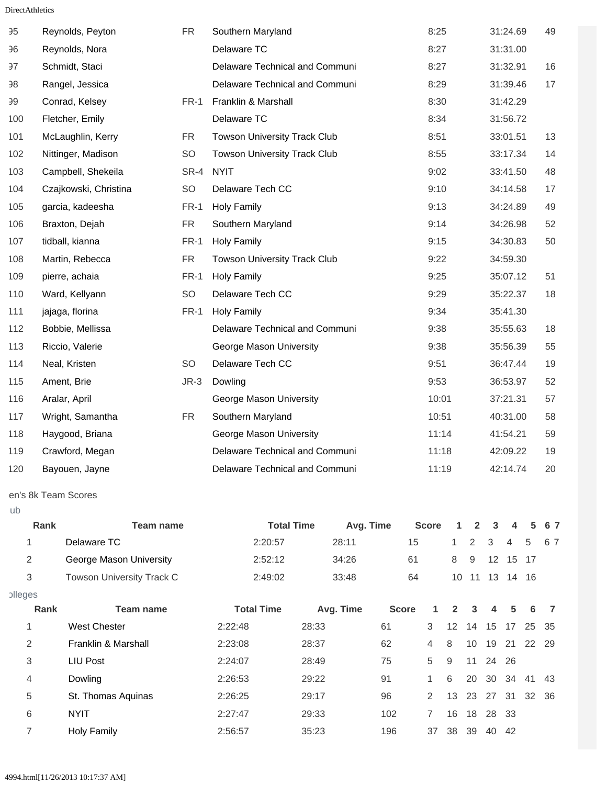| 95  | Reynolds, Peyton      | <b>FR</b>   | Southern Maryland                   | 8:25  | 31:24.69 | 49 |
|-----|-----------------------|-------------|-------------------------------------|-------|----------|----|
| 96  | Reynolds, Nora        |             | Delaware TC                         | 8:27  | 31:31.00 |    |
| 37  | Schmidt, Staci        |             | Delaware Technical and Communi      | 8:27  | 31:32.91 | 16 |
| 98  | Rangel, Jessica       |             | Delaware Technical and Communi      | 8:29  | 31:39.46 | 17 |
| 99  | Conrad, Kelsey        | <b>FR-1</b> | Franklin & Marshall                 | 8:30  | 31:42.29 |    |
| 100 | Fletcher, Emily       |             | Delaware TC                         | 8:34  | 31:56.72 |    |
| 101 | McLaughlin, Kerry     | <b>FR</b>   | <b>Towson University Track Club</b> | 8:51  | 33:01.51 | 13 |
| 102 | Nittinger, Madison    | SO          | <b>Towson University Track Club</b> | 8:55  | 33:17.34 | 14 |
| 103 | Campbell, Shekeila    | SR-4        | <b>NYIT</b>                         | 9:02  | 33:41.50 | 48 |
| 104 | Czajkowski, Christina | SO          | Delaware Tech CC                    | 9:10  | 34:14.58 | 17 |
| 105 | garcia, kadeesha      | FR-1        | <b>Holy Family</b>                  | 9:13  | 34:24.89 | 49 |
| 106 | Braxton, Dejah        | <b>FR</b>   | Southern Maryland                   | 9:14  | 34:26.98 | 52 |
| 107 | tidball, kianna       | FR-1        | <b>Holy Family</b>                  | 9:15  | 34:30.83 | 50 |
| 108 | Martin, Rebecca       | <b>FR</b>   | <b>Towson University Track Club</b> | 9:22  | 34:59.30 |    |
| 109 | pierre, achaia        | FR-1        | <b>Holy Family</b>                  | 9:25  | 35:07.12 | 51 |
| 110 | Ward, Kellyann        | SO          | Delaware Tech CC                    | 9:29  | 35:22.37 | 18 |
| 111 | jajaga, florina       | FR-1        | <b>Holy Family</b>                  | 9:34  | 35:41.30 |    |
| 112 | Bobbie, Mellissa      |             | Delaware Technical and Communi      | 9:38  | 35:55.63 | 18 |
| 113 | Riccio, Valerie       |             | George Mason University             | 9:38  | 35:56.39 | 55 |
| 114 | Neal, Kristen         | SO          | Delaware Tech CC                    | 9:51  | 36:47.44 | 19 |
| 115 | Ament, Brie           | $JR-3$      | Dowling                             | 9:53  | 36:53.97 | 52 |
| 116 | Aralar, April         |             | George Mason University             | 10:01 | 37:21.31 | 57 |
| 117 | Wright, Samantha      | FR.         | Southern Maryland                   | 10:51 | 40:31.00 | 58 |
| 118 | Haygood, Briana       |             | George Mason University             | 11:14 | 41:54.21 | 59 |
| 119 | Crawford, Megan       |             | Delaware Technical and Communi      | 11:18 | 42:09.22 | 19 |
| 120 | Bayouen, Jayne        |             | Delaware Technical and Communi      | 11:19 | 42:14.74 | 20 |

en's 8k Team Scores

lub

| Rank    | Team name                 | <b>Total Time</b> | Avg. Time |              | <b>Score</b>   | 1               | $\overline{2}$ | 3               | 4                | 5  | 67  |
|---------|---------------------------|-------------------|-----------|--------------|----------------|-----------------|----------------|-----------------|------------------|----|-----|
| 1       | Delaware TC               | 2:20:57           | 28:11     | 15           |                | 1               | 2              | 3               | 4                | 5  | 67  |
| 2       | George Mason University   | 2:52:12           | 34:26     | 61           |                | 8               | 9              | 12              | 15 <sub>15</sub> | 17 |     |
| 3       | Towson University Track C | 2:49:02           | 33:48     | 64           |                | 10              | 11             | 13              | 14               | 16 |     |
| blleges |                           |                   |           |              |                |                 |                |                 |                  |    |     |
| Rank    | <b>Team name</b>          | <b>Total Time</b> | Avg. Time | <b>Score</b> |                | $\mathbf{2}$    | 3              | 4               | 5                | 6  | -7  |
| 1       | <b>West Chester</b>       | 2:22:48           | 28:33     | 61           | 3              | 12 <sup>2</sup> | 14             | 15 <sub>1</sub> | 17               | 25 | -35 |
| 2       | Franklin & Marshall       | 2:23:08           | 28:37     | 62           | 4              | 8               | 10             | 19              | 21               | 22 | -29 |
| 3       | LIU Post                  | 2:24:07           | 28:49     | 75           | 5              | 9               | 11             | 24              | 26               |    |     |
| 4       | Dowling                   | 2:26:53           | 29:22     | 91           | 1              | 6               | 20             | 30              | 34               | 41 | 43  |
| 5       | St. Thomas Aquinas        | 2:26:25           | 29:17     | 96           | $\overline{2}$ | 13              | 23             | 27              | 31               | 32 | 36  |
| 6       | <b>NYIT</b>               | 2:27:47           | 29:33     | 102          | 7              | 16              | 18             | 28              | - 33             |    |     |
| 7       | <b>Holy Family</b>        | 2:56:57           | 35:23     | 196          | 37             | 38              | 39             | 40              | 42               |    |     |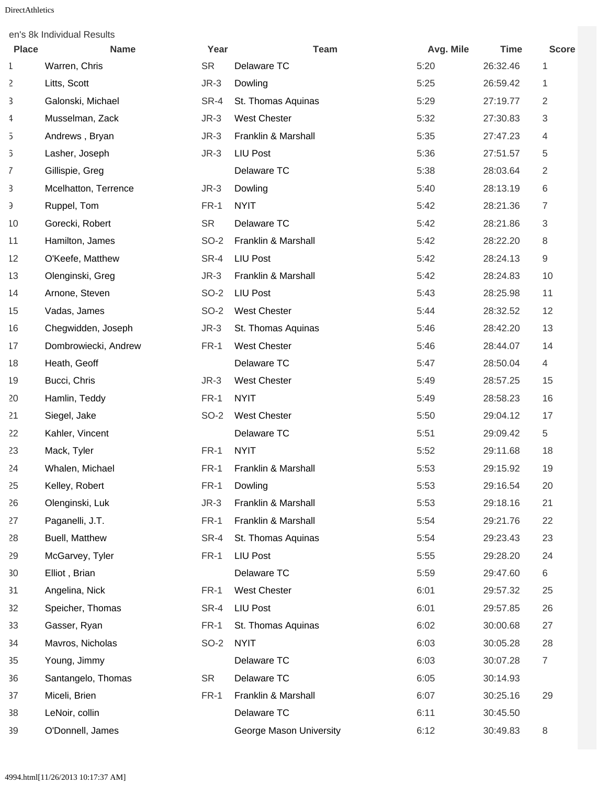| <b>Place</b>            | en's 8k Individual Results<br><b>Name</b> | Year        | <b>Team</b>             | Avg. Mile | <b>Time</b> | <b>Score</b>   |
|-------------------------|-------------------------------------------|-------------|-------------------------|-----------|-------------|----------------|
| 1                       | Warren, Chris                             | <b>SR</b>   | Delaware TC             | 5:20      | 26:32.46    | 1              |
| $\overline{2}$          | Litts, Scott                              | $JR-3$      | Dowling                 | 5:25      | 26:59.42    | 1              |
| 3                       | Galonski, Michael                         | SR-4        | St. Thomas Aquinas      | 5:29      | 27:19.77    | 2              |
| $\overline{\mathbf{1}}$ | Musselman, Zack                           | $JR-3$      | <b>West Chester</b>     | 5:32      | 27:30.83    | 3              |
| 5                       | Andrews, Bryan                            | $JR-3$      | Franklin & Marshall     | 5:35      | 27:47.23    | 4              |
| G.                      | Lasher, Joseph                            | $JR-3$      | <b>LIU Post</b>         | 5:36      | 27:51.57    | 5              |
| 7                       | Gillispie, Greg                           |             | Delaware TC             | 5:38      | 28:03.64    | 2              |
| 3                       | Mcelhatton, Terrence                      | $JR-3$      | Dowling                 | 5:40      | 28:13.19    | 6              |
| Э                       | Ruppel, Tom                               | $FR-1$      | <b>NYIT</b>             | 5:42      | 28:21.36    | 7              |
| 10                      | Gorecki, Robert                           | <b>SR</b>   | Delaware TC             | 5:42      | 28:21.86    | 3              |
| 11                      | Hamilton, James                           | SO-2        | Franklin & Marshall     | 5:42      | 28:22.20    | 8              |
| 12                      | O'Keefe, Matthew                          | SR-4        | <b>LIU Post</b>         | 5:42      | 28:24.13    | 9              |
| 13                      | Olenginski, Greg                          | $JR-3$      | Franklin & Marshall     | 5:42      | 28:24.83    | 10             |
| 14                      | Arnone, Steven                            | SO-2        | <b>LIU Post</b>         | 5:43      | 28:25.98    | 11             |
| 15                      | Vadas, James                              | SO-2        | <b>West Chester</b>     | 5:44      | 28:32.52    | 12             |
| 16                      | Chegwidden, Joseph                        | $JR-3$      | St. Thomas Aquinas      | 5:46      | 28:42.20    | 13             |
| 17                      | Dombrowiecki, Andrew                      | <b>FR-1</b> | <b>West Chester</b>     | 5:46      | 28:44.07    | 14             |
| 18                      | Heath, Geoff                              |             | Delaware TC             | 5:47      | 28:50.04    | 4              |
| 19                      | Bucci, Chris                              | $JR-3$      | <b>West Chester</b>     | 5:49      | 28:57.25    | 15             |
| 20                      | Hamlin, Teddy                             | $FR-1$      | <b>NYIT</b>             | 5:49      | 28:58.23    | 16             |
| 21                      | Siegel, Jake                              | $SO-2$      | <b>West Chester</b>     | 5:50      | 29:04.12    | 17             |
| 22                      | Kahler, Vincent                           |             | Delaware TC             | 5:51      | 29:09.42    | 5              |
| 23                      | Mack, Tyler                               | <b>FR-1</b> | <b>NYIT</b>             | 5:52      | 29:11.68    | 18             |
| 24                      | Whalen, Michael                           | <b>FR-1</b> | Franklin & Marshall     | 5:53      | 29:15.92    | 19             |
| 25                      | Kelley, Robert                            | <b>FR-1</b> | Dowling                 | 5:53      | 29:16.54    | 20             |
| 26                      | Olenginski, Luk                           | $JR-3$      | Franklin & Marshall     | 5:53      | 29:18.16    | 21             |
| 27                      | Paganelli, J.T.                           | $FR-1$      | Franklin & Marshall     | 5:54      | 29:21.76    | 22             |
| 28                      | Buell, Matthew                            | SR-4        | St. Thomas Aquinas      | 5:54      | 29:23.43    | 23             |
| 29                      | McGarvey, Tyler                           | FR-1        | <b>LIU Post</b>         | 5:55      | 29:28.20    | 24             |
| 30                      | Elliot, Brian                             |             | Delaware TC             | 5:59      | 29:47.60    | 6              |
| 31                      | Angelina, Nick                            | FR-1        | <b>West Chester</b>     | 6:01      | 29:57.32    | 25             |
| 32                      | Speicher, Thomas                          | SR-4        | <b>LIU Post</b>         | 6:01      | 29:57.85    | 26             |
| 33                      | Gasser, Ryan                              | FR-1        | St. Thomas Aquinas      | 6:02      | 30:00.68    | 27             |
| 34                      | Mavros, Nicholas                          | SO-2        | <b>NYIT</b>             | 6:03      | 30:05.28    | 28             |
| 35                      | Young, Jimmy                              |             | Delaware TC             | 6:03      | 30:07.28    | $\overline{7}$ |
| 36                      | Santangelo, Thomas                        | <b>SR</b>   | Delaware TC             | 6:05      | 30:14.93    |                |
| 37                      | Miceli, Brien                             | <b>FR-1</b> | Franklin & Marshall     | 6:07      | 30:25.16    | 29             |
| 38                      | LeNoir, collin                            |             | Delaware TC             | 6:11      | 30:45.50    |                |
| 39                      | O'Donnell, James                          |             | George Mason University | 6:12      | 30:49.83    | 8              |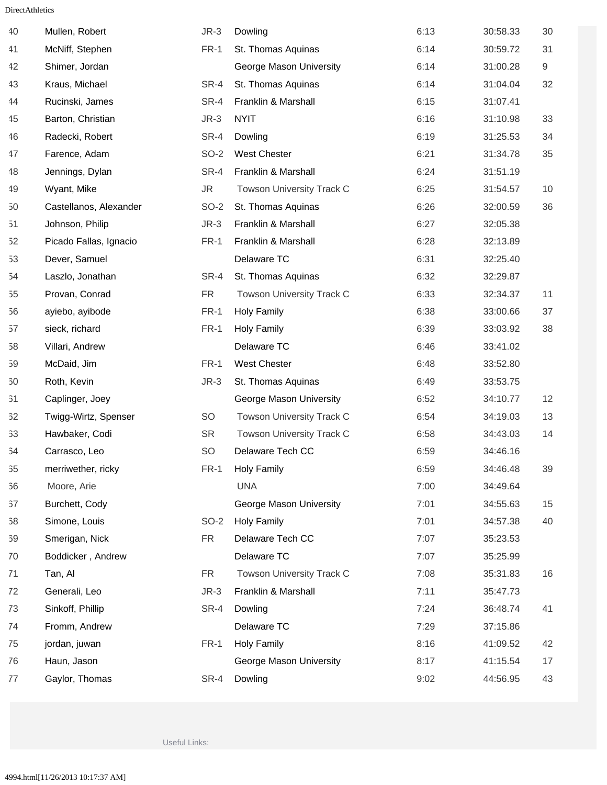| 40              | Mullen, Robert         | $JR-3$      | Dowling                          | 6:13 | 30:58.33 | 30 |
|-----------------|------------------------|-------------|----------------------------------|------|----------|----|
| 41              | McNiff, Stephen        | <b>FR-1</b> | St. Thomas Aquinas               | 6:14 | 30:59.72 | 31 |
| 42              | Shimer, Jordan         |             | George Mason University          | 6:14 | 31:00.28 | 9  |
| 43              | Kraus, Michael         | SR-4        | St. Thomas Aquinas               | 6:14 | 31:04.04 | 32 |
| 44              | Rucinski, James        | SR-4        | Franklin & Marshall              | 6:15 | 31:07.41 |    |
| 45              | Barton, Christian      | $JR-3$      | <b>NYIT</b>                      | 6:16 | 31:10.98 | 33 |
| 46              | Radecki, Robert        | SR-4        | Dowling                          | 6:19 | 31:25.53 | 34 |
| 47              | Farence, Adam          | $SO-2$      | <b>West Chester</b>              | 6:21 | 31:34.78 | 35 |
| 48              | Jennings, Dylan        | SR-4        | Franklin & Marshall              | 6:24 | 31:51.19 |    |
| 49              | Wyant, Mike            | <b>JR</b>   | Towson University Track C        | 6:25 | 31:54.57 | 10 |
| 50              | Castellanos, Alexander | $SO-2$      | St. Thomas Aquinas               | 6:26 | 32:00.59 | 36 |
| 51              | Johnson, Philip        | $JR-3$      | Franklin & Marshall              | 6:27 | 32:05.38 |    |
| 52              | Picado Fallas, Ignacio | <b>FR-1</b> | Franklin & Marshall              | 6:28 | 32:13.89 |    |
| 53              | Dever, Samuel          |             | Delaware TC                      | 6:31 | 32:25.40 |    |
| 54              | Laszlo, Jonathan       | SR-4        | St. Thomas Aquinas               | 6:32 | 32:29.87 |    |
| 55              | Provan, Conrad         | <b>FR</b>   | Towson University Track C        | 6:33 | 32:34.37 | 11 |
| 56              | ayiebo, ayibode        | <b>FR-1</b> | <b>Holy Family</b>               | 6:38 | 33:00.66 | 37 |
| 57              | sieck, richard         | <b>FR-1</b> | <b>Holy Family</b>               | 6:39 | 33:03.92 | 38 |
| 58              | Villari, Andrew        |             | Delaware TC                      | 6:46 | 33:41.02 |    |
| 59              | McDaid, Jim            | <b>FR-1</b> | <b>West Chester</b>              | 6:48 | 33:52.80 |    |
| 30              | Roth, Kevin            | $JR-3$      | St. Thomas Aquinas               | 6:49 | 33:53.75 |    |
| $\overline{31}$ | Caplinger, Joey        |             | George Mason University          | 6:52 | 34:10.77 | 12 |
| 32              | Twigg-Wirtz, Spenser   | <b>SO</b>   | Towson University Track C        | 6:54 | 34:19.03 | 13 |
| 33              | Hawbaker, Codi         | <b>SR</b>   | <b>Towson University Track C</b> | 6:58 | 34:43.03 | 14 |
| 34              | Carrasco, Leo          | <b>SO</b>   | Delaware Tech CC                 | 6:59 | 34:46.16 |    |
| 35              | merriwether, ricky     | <b>FR-1</b> | <b>Holy Family</b>               | 6:59 | 34:46.48 | 39 |
| 36              | Moore, Arie            |             | <b>UNA</b>                       | 7:00 | 34:49.64 |    |
| 37              | Burchett, Cody         |             | George Mason University          | 7:01 | 34:55.63 | 15 |
| 38              | Simone, Louis          | $SO-2$      | <b>Holy Family</b>               | 7:01 | 34:57.38 | 40 |
| 39              | Smerigan, Nick         | <b>FR</b>   | Delaware Tech CC                 | 7:07 | 35:23.53 |    |
| 70              | Boddicker, Andrew      |             | Delaware TC                      | 7:07 | 35:25.99 |    |
| 71              | Tan, Al                | <b>FR</b>   | Towson University Track C        | 7:08 | 35:31.83 | 16 |
| 72              | Generali, Leo          | $JR-3$      | Franklin & Marshall              | 7:11 | 35:47.73 |    |
| 73              | Sinkoff, Phillip       | SR-4        | Dowling                          | 7:24 | 36:48.74 | 41 |
| 74              | Fromm, Andrew          |             | Delaware TC                      | 7:29 | 37:15.86 |    |
| 75              | jordan, juwan          | <b>FR-1</b> | <b>Holy Family</b>               | 8:16 | 41:09.52 | 42 |
| 76              | Haun, Jason            |             | George Mason University          | 8:17 | 41:15.54 | 17 |
| 77              | Gaylor, Thomas         | SR-4        | Dowling                          | 9:02 | 44:56.95 | 43 |
|                 |                        |             |                                  |      |          |    |